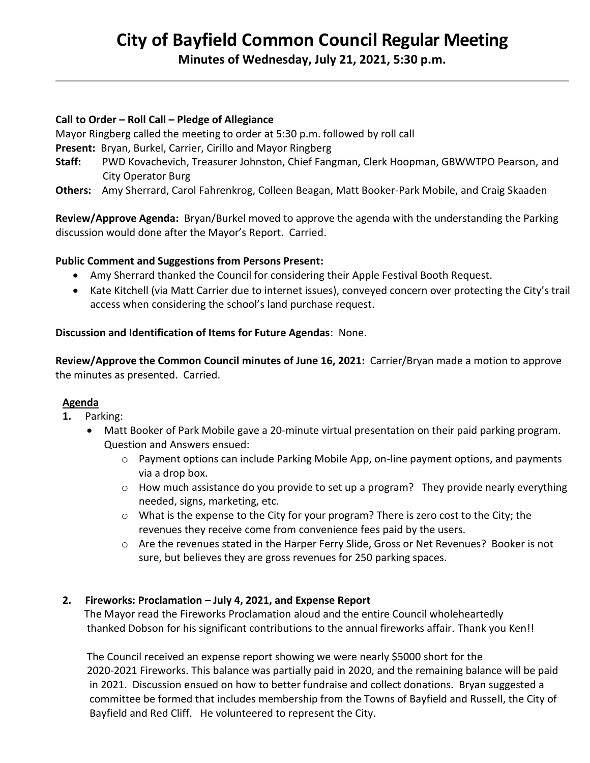# **City of Bayfield Common Council Regular Meeting**

**Minutes of Wednesday, July 21, 2021, 5:30 p.m.** 

#### **Call to Order – Roll Call – Pledge of Allegiance**

Mayor Ringberg called the meeting to order at 5:30 p.m. followed by roll call

- **Present:** Bryan, Burkel, Carrier, Cirillo and Mayor Ringberg
- **Staff:** PWD Kovachevich, Treasurer Johnston, Chief Fangman, Clerk Hoopman, GBWWTPO Pearson, and City Operator Burg
- **Others:** Amy Sherrard, Carol Fahrenkrog, Colleen Beagan, Matt Booker-Park Mobile, and Craig Skaaden

**Review/Approve Agenda:** Bryan/Burkel moved to approve the agenda with the understanding the Parking discussion would done after the Mayor's Report. Carried.

## **Public Comment and Suggestions from Persons Present:**

- Amy Sherrard thanked the Council for considering their Apple Festival Booth Request.
- Kate Kitchell (via Matt Carrier due to internet issues), conveyed concern over protecting the City's trail access when considering the school's land purchase request.

## **Discussion and Identification of Items for Future Agendas**: None.

**Review/Approve the Common Council minutes of June 16, 2021:** Carrier/Bryan made a motion to approve the minutes as presented. Carried.

#### **Agenda**

- **1.** Parking:
	- Matt Booker of Park Mobile gave a 20-minute virtual presentation on their paid parking program. Question and Answers ensued:
		- $\circ$  Payment options can include Parking Mobile App, on-line payment options, and payments via a drop box.
		- o How much assistance do you provide to set up a program? They provide nearly everything needed, signs, marketing, etc.
		- $\circ$  What is the expense to the City for your program? There is zero cost to the City; the revenues they receive come from convenience fees paid by the users.
		- o Are the revenues stated in the Harper Ferry Slide, Gross or Net Revenues? Booker is not sure, but believes they are gross revenues for 250 parking spaces.

#### **2. Fireworks: Proclamation – July 4, 2021, and Expense Report**

 The Mayor read the Fireworks Proclamation aloud and the entire Council wholeheartedly thanked Dobson for his significant contributions to the annual fireworks affair. Thank you Ken!!

 The Council received an expense report showing we were nearly \$5000 short for the 2020-2021 Fireworks. This balance was partially paid in 2020, and the remaining balance will be paid in 2021. Discussion ensued on how to better fundraise and collect donations. Bryan suggested a committee be formed that includes membership from the Towns of Bayfield and Russell, the City of Bayfield and Red Cliff. He volunteered to represent the City.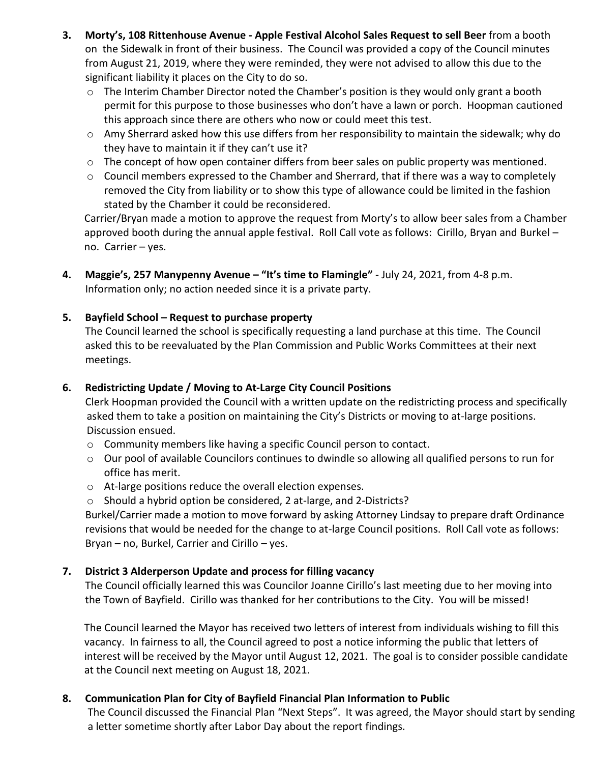- **3. Morty's, 108 Rittenhouse Avenue - Apple Festival Alcohol Sales Request to sell Beer** from a booth on the Sidewalk in front of their business. The Council was provided a copy of the Council minutes from August 21, 2019, where they were reminded, they were not advised to allow this due to the significant liability it places on the City to do so.
	- $\circ$  The Interim Chamber Director noted the Chamber's position is they would only grant a booth permit for this purpose to those businesses who don't have a lawn or porch. Hoopman cautioned this approach since there are others who now or could meet this test.
	- o Amy Sherrard asked how this use differs from her responsibility to maintain the sidewalk; why do they have to maintain it if they can't use it?
	- $\circ$  The concept of how open container differs from beer sales on public property was mentioned.
	- o Council members expressed to the Chamber and Sherrard, that if there was a way to completely removed the City from liability or to show this type of allowance could be limited in the fashion stated by the Chamber it could be reconsidered.

 Carrier/Bryan made a motion to approve the request from Morty's to allow beer sales from a Chamber approved booth during the annual apple festival. Roll Call vote as follows: Cirillo, Bryan and Burkel – no. Carrier – yes.

**4. Maggie's, 257 Manypenny Avenue – "It's time to Flamingle"** - July 24, 2021, from 4-8 p.m. Information only; no action needed since it is a private party.

# **5. Bayfield School – Request to purchase property**

 The Council learned the school is specifically requesting a land purchase at this time. The Council asked this to be reevaluated by the Plan Commission and Public Works Committees at their next meetings.

# **6. Redistricting Update / Moving to At-Large City Council Positions**

 Clerk Hoopman provided the Council with a written update on the redistricting process and specifically asked them to take a position on maintaining the City's Districts or moving to at-large positions. Discussion ensued.

- o Community members like having a specific Council person to contact.
- $\circ$  Our pool of available Councilors continues to dwindle so allowing all qualified persons to run for office has merit.
- o At-large positions reduce the overall election expenses.
- o Should a hybrid option be considered, 2 at-large, and 2-Districts?

 Burkel/Carrier made a motion to move forward by asking Attorney Lindsay to prepare draft Ordinance revisions that would be needed for the change to at-large Council positions. Roll Call vote as follows: Bryan – no, Burkel, Carrier and Cirillo – yes.

# **7. District 3 Alderperson Update and process for filling vacancy**

 The Council officially learned this was Councilor Joanne Cirillo's last meeting due to her moving into the Town of Bayfield. Cirillo was thanked for her contributions to the City. You will be missed!

 The Council learned the Mayor has received two letters of interest from individuals wishing to fill this vacancy. In fairness to all, the Council agreed to post a notice informing the public that letters of interest will be received by the Mayor until August 12, 2021. The goal is to consider possible candidate at the Council next meeting on August 18, 2021.

# **8. Communication Plan for City of Bayfield Financial Plan Information to Public**

 The Council discussed the Financial Plan "Next Steps". It was agreed, the Mayor should start by sending a letter sometime shortly after Labor Day about the report findings.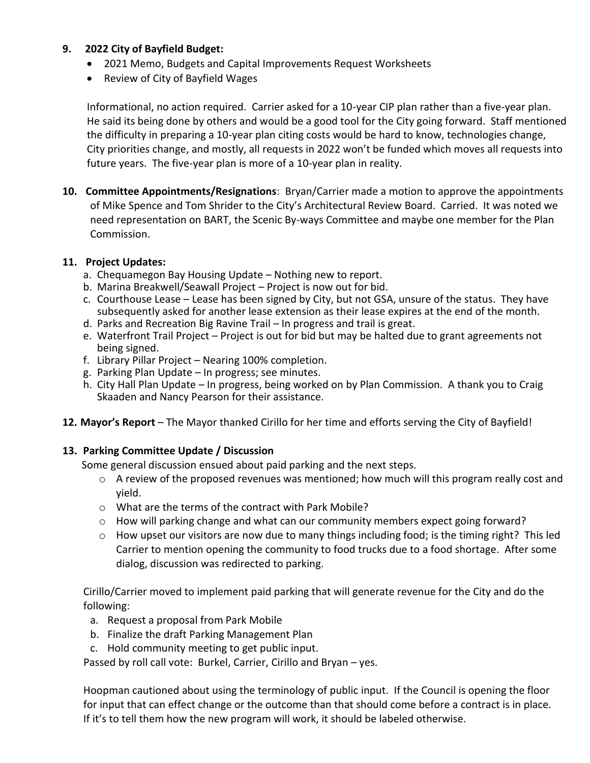## **9. 2022 City of Bayfield Budget:**

- 2021 Memo, Budgets and Capital Improvements Request Worksheets
- Review of City of Bayfield Wages

 Informational, no action required. Carrier asked for a 10-year CIP plan rather than a five-year plan. He said its being done by others and would be a good tool for the City going forward. Staff mentioned the difficulty in preparing a 10-year plan citing costs would be hard to know, technologies change, City priorities change, and mostly, all requests in 2022 won't be funded which moves all requests into future years. The five-year plan is more of a 10-year plan in reality.

**10. Committee Appointments/Resignations**: Bryan/Carrier made a motion to approve the appointments of Mike Spence and Tom Shrider to the City's Architectural Review Board. Carried. It was noted we need representation on BART, the Scenic By-ways Committee and maybe one member for the Plan Commission.

## **11. Project Updates:**

- a. Chequamegon Bay Housing Update Nothing new to report.
- b. Marina Breakwell/Seawall Project Project is now out for bid.
- c. Courthouse Lease Lease has been signed by City, but not GSA, unsure of the status. They have subsequently asked for another lease extension as their lease expires at the end of the month.
- d. Parks and Recreation Big Ravine Trail In progress and trail is great.
- e. Waterfront Trail Project Project is out for bid but may be halted due to grant agreements not being signed.
- f. Library Pillar Project Nearing 100% completion.
- g. Parking Plan Update In progress; see minutes.
- h. City Hall Plan Update In progress, being worked on by Plan Commission. A thank you to Craig Skaaden and Nancy Pearson for their assistance.
- **12. Mayor's Report** The Mayor thanked Cirillo for her time and efforts serving the City of Bayfield!

# **13. Parking Committee Update / Discussion**

Some general discussion ensued about paid parking and the next steps.

- $\circ$  A review of the proposed revenues was mentioned; how much will this program really cost and yield.
- o What are the terms of the contract with Park Mobile?
- $\circ$  How will parking change and what can our community members expect going forward?
- o How upset our visitors are now due to many things including food; is the timing right? This led Carrier to mention opening the community to food trucks due to a food shortage. After some dialog, discussion was redirected to parking.

 Cirillo/Carrier moved to implement paid parking that will generate revenue for the City and do the following:

- a. Request a proposal from Park Mobile
- b. Finalize the draft Parking Management Plan
- c. Hold community meeting to get public input.

Passed by roll call vote: Burkel, Carrier, Cirillo and Bryan - yes.

Hoopman cautioned about using the terminology of public input. If the Council is opening the floor for input that can effect change or the outcome than that should come before a contract is in place. If it's to tell them how the new program will work, it should be labeled otherwise.